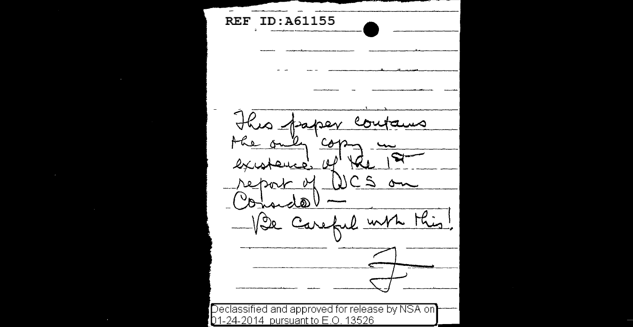**REF** ID:A61155 This paper com مسه the only cop.  $2x4$ Leuco, 14 DCS on report of (Oriondo) Vie Careful with Mis! Declassified and approved for release by NSA on 01-24-2014 pursuant to E.O. 13526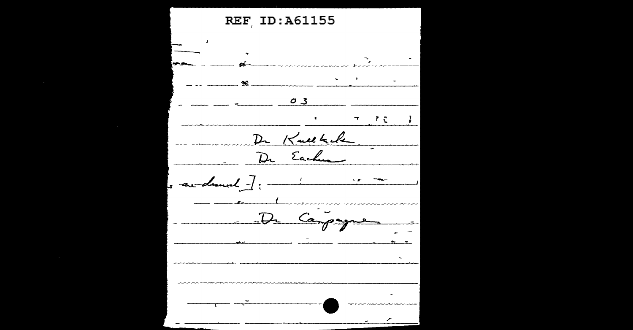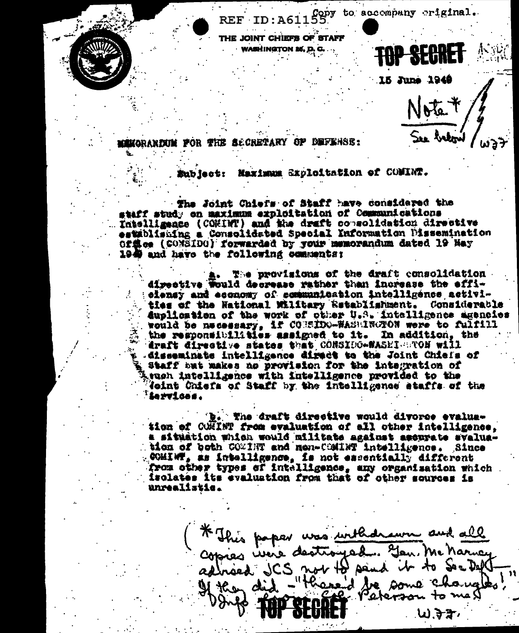Copy to accompany riginal. REF ID:A61 THE JOINT CHIEFS OF STAFF WASHINGTON 25. D

15 June 1949

Note \* See betown

**ENGRANDIN FOR THE SECRETARY OF DEFERSE:** 

Subject: Neximum Sxploitation of COMINT.

The Joint Chiefs of Staff have considered the staff study on maximum exploitation of Communications Intelligence (COMINT) and the draft consolidation directive establishing a Consolidated Special Information Dissemination Of焦ee (CONSIDO) forwarded by your memorandum dated 19 May 1949 and have the following comments:

The provisions of the draft consolidation directive Would decrease rather than increase the effielensy and economy of communication intelligence activities of the National Military Retablishment. Considerable duplication of the work of other U.S. intelligence agencies would be necessary, if CONSIDO-WASHINGTON were to fulfill the responsibilities assigned to it. In addition, the draft directive states that CONSIDO-WASEI BTOM will disseminate intelligence diract to the Joint Chiefs of Staff but makes as provision for the integration of won intelligence with intelligence provided to the Joint Chiefs of Staff by the intelligence staffs of the iervices.

b. The draft directive would divorce evaluation of COMINT from evaluation of all other intelligence. a situation which would militate against accurate svaluation of both COMINT and nem-COMINT intelligence. Since COMINT, as intelligence, is not essentially different from other types of intelligence, any organisation which isolates its evaluation from that of other sources is unrealistic.

\* This paper was withdrawn and all<br>copies were destroyed. Jen Me Marney<br>adhaed JCS not to send it to See Deft . 3.方方